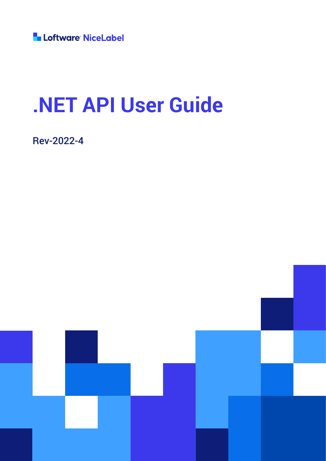**L** Loftware NiceLabel

# **.NET API User Guide**

Rev-2022-4

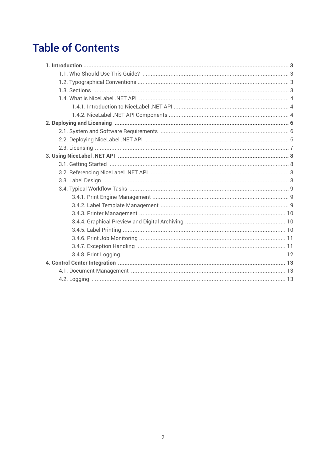## **Table of Contents**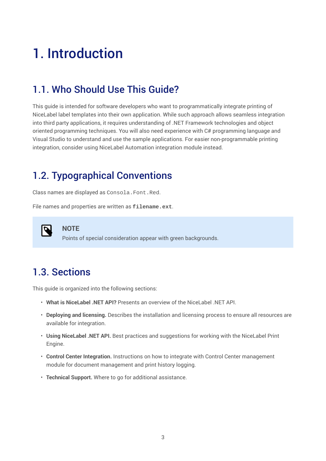## <span id="page-2-0"></span>1. Introduction

## 1.1. Who Should Use This Guide?

This guide is intended for software developers who want to programmatically integrate printing of NiceLabel label templates into their own application. While such approach allows seamless integration into third party applications, it requires understanding of .NET Framework technologies and object oriented programming techniques. You will also need experience with C# programming language and Visual Studio to understand and use the sample applications. For easier non-programmable printing integration, consider using NiceLabel Automation integration module instead.

## 1.2. Typographical Conventions

Class names are displayed as Consola.Font.Red.

File names and properties are written as **filename.ext**.



Points of special consideration appear with green backgrounds.

## 1.3. Sections

**NOTE**

This guide is organized into the following sections:

- **What is NiceLabel .NET API?** Presents an overview of the NiceLabel .NET API.
- **Deploying and licensing.** Describes the installation and licensing process to ensure all resources are available for integration.
- **Using NiceLabel .NET API.** Best practices and suggestions for working with the NiceLabel Print Engine.
- **Control Center Integration.** Instructions on how to integrate with Control Center management module for document management and print history logging.
- **Technical Support.** Where to go for additional assistance.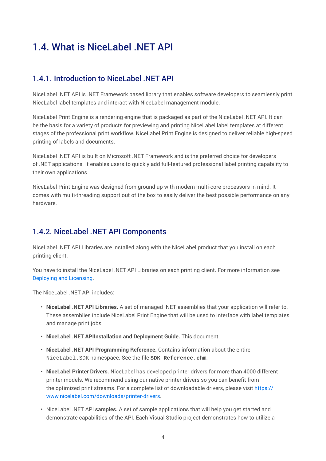## <span id="page-3-0"></span>1.4. What is Nicel abel NFT API

#### 1.4.1. Introduction to NiceLabel, NFT API

NiceLabel .NET API is .NET Framework based library that enables software developers to seamlessly print NiceLabel label templates and interact with NiceLabel management module.

NiceLabel Print Engine is a rendering engine that is packaged as part of the NiceLabel .NET API. It can be the basis for a variety of products for previewing and printing NiceLabel label templates at different stages of the professional print workflow. NiceLabel Print Engine is designed to deliver reliable high-speed printing of labels and documents.

NiceLabel .NET API is built on Microsoft .NET Framework and is the preferred choice for developers of .NET applications. It enables users to quickly add full-featured professional label printing capability to their own applications.

NiceLabel Print Engine was designed from ground up with modern multi-core processors in mind. It comes with multi-threading support out of the box to easily deliver the best possible performance on any hardware.

#### 1.4.2. NiceLabel .NET API Components

NiceLabel .NET API Libraries are installed along with the NiceLabel product that you install on each printing client.

You have to install the NiceLabel .NET API Libraries on each printing client. For more information see [Deploying and Licensing](#page-5-0).

The NiceLabel .NET API includes:

- **NiceLabel .NET API Libraries.** A set of managed .NET assemblies that your application will refer to. These assemblies include NiceLabel Print Engine that will be used to interface with label templates and manage print jobs.
- **NiceLabel .NET APIInstallation and Deployment Guide.** This document.
- **NiceLabel .NET API Programming Reference.** Contains information about the entire NiceLabel.SDK namespace. See the file **SDK Reference.chm**.
- **NiceLabel Printer Drivers.** NiceLabel has developed printer drivers for more than 4000 different printer models. We recommend using our native printer drivers so you can benefit from the optimized print streams. For a complete list of downloadable drivers, please visit [https://](https://www.nicelabel.com/downloads/printer-drivers) [www.nicelabel.com/downloads/printer-drivers](https://www.nicelabel.com/downloads/printer-drivers).
- NiceLabel .NET API **samples.** A set of sample applications that will help you get started and demonstrate capabilities of the API. Each Visual Studio project demonstrates how to utilize a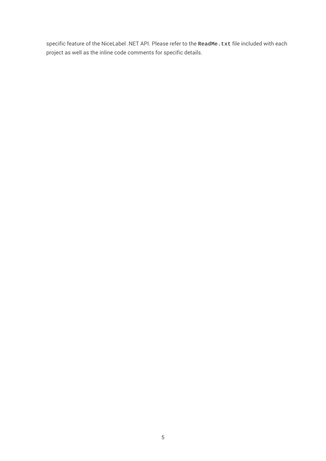specific feature of the NiceLabel .NET API. Please refer to the **ReadMe.txt** file included with each project as well as the inline code comments for specific details.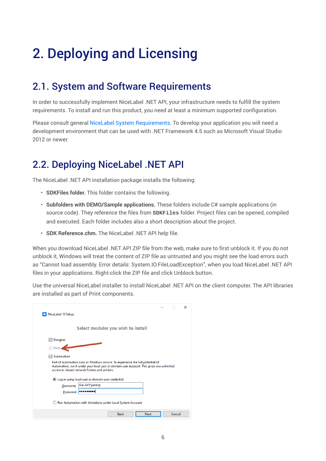## <span id="page-5-0"></span>2. Deploying and Licensing

### 2.1. System and Software Requirements

In order to successfully implement NiceLabel .NET API, your infrastructure needs to fulfill the system requirements. To install and run this product, you need at least a minimum supported configuration.

Please consult general [NiceLabel System Requirements.](https://help.nicelabel.com/hc/articles/4406065208593) To develop your application you will need a development environment that can be used with .NET Framework 4.5 such as Microsoft Visual Studio 2012 or newer.

## 2.2. Deploying NiceLabel .NET API

The NiceLabel .NET API installation package installs the following:

- **SDKFiles folder.** This folder contains the following.
- **Subfolders with DEMO/Sample applications.** These folders include C# sample applications (in source code). They reference the files from *SDKFiles* folder. Project files can be opened, compiled and executed. Each folder includes also a short description about the project.
- **SDK Reference.chm.** The NiceLabel .NET API help file.

When you download NiceLabel .NET API ZIP file from the web, make sure to first unblock it. If you do not unblock it, Windows will treat the content of ZIP file as untrusted and you might see the load errors such as "Cannot load assembly. Error details: System.IO.FileLoadException", when you load NiceLabel .NET API files in your applications. Right-click the ZIP file and click Unblock button.

Use the universal NiceLabel installer to install NiceLabel .NET API on the client computer. The API libraries are installed as part of Print components.

| NiceLabel 10 Setup                                                                                                                                                                                                             |                                                              |             |             |        | $\times$ |
|--------------------------------------------------------------------------------------------------------------------------------------------------------------------------------------------------------------------------------|--------------------------------------------------------------|-------------|-------------|--------|----------|
|                                                                                                                                                                                                                                | Select modules you wish to install                           |             |             |        |          |
| $\sqrt{}$ Designer<br>Print                                                                                                                                                                                                    | <b>Contract Contract Contract</b>                            |             |             |        |          |
| $\sqrt{ }$ Automation                                                                                                                                                                                                          |                                                              |             |             |        |          |
| Part of Automation runs as Windows service. To experience the full potential of<br>Automation, run it under your local user or domain user account. This gives you unlimited<br>access to shared network folders and printers. |                                                              |             |             |        |          |
|                                                                                                                                                                                                                                | If Log in using local user or domain user credential         |             |             |        |          |
| Username:                                                                                                                                                                                                                      | GALAXY\janezp                                                |             |             |        |          |
| Password:                                                                                                                                                                                                                      |                                                              |             |             |        |          |
|                                                                                                                                                                                                                                | ◯ Run Automation with limitations under Local System Account |             |             |        |          |
|                                                                                                                                                                                                                                |                                                              | <b>Back</b> | <b>Next</b> | Cancel |          |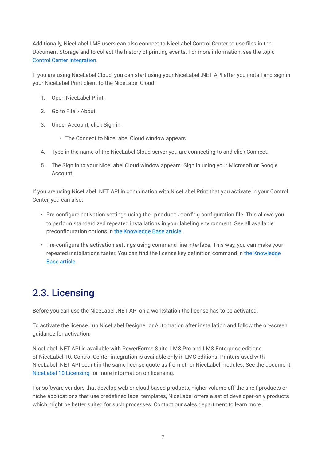<span id="page-6-0"></span>Additionally, NiceLabel LMS users can also connect to NiceLabel Control Center to use files in the Document Storage and to collect the history of printing events. For more information, see the topic [Control Center Integration.](#page-12-0)

If you are using NiceLabel Cloud, you can start using your NiceLabel .NET API after you install and sign in your NiceLabel Print client to the NiceLabel Cloud:

- 1. Open NiceLabel Print.
- 2. Go to File > About.
- 3. Under Account, click Sign in.
	- The Connect to NiceLabel Cloud window appears.
- 4. Type in the name of the NiceLabel Cloud server you are connecting to and click Connect.
- 5. The Sign in to your NiceLabel Cloud window appears. Sign in using your Microsoft or Google Account.

If you are using NiceLabel .NET API in combination with NiceLabel Print that you activate in your Control Center, you can also:

- Pre-configure activation settings using the product.config configuration file. This allows you to perform standardized repeated installations in your labeling environment. See all available preconfiguration options in [the Knowledge Base article.](https://help.nicelabel.com/hc/articles/4405121481873-Pre-configuring-NiceLabel-installation-with-product-config)
- Pre-configure the activation settings using command line interface. This way, you can make your repeated installations faster. You can find the license key definition command in [the Knowledge](https://help.nicelabel.com/hc/articles/4405114806673-NiceLabel-Install-Command-Line-Switches) [Base article.](https://help.nicelabel.com/hc/articles/4405114806673-NiceLabel-Install-Command-Line-Switches)

## 2.3. Licensing

Before you can use the NiceLabel .NET API on a workstation the license has to be activated.

To activate the license, run NiceLabel Designer or Automation after installation and follow the on-screen guidance for activation.

NiceLabel .NET API is available with PowerForms Suite, LMS Pro and LMS Enterprise editions of NiceLabel 10. Control Center integration is available only in LMS editions. Printers used with NiceLabel .NET API count in the same license quote as from other NiceLabel modules. See the document [NiceLabel 10 Licensing](https://help.nicelabel.com/hc/categories/4405139809937-Licensing-and-Activating-NiceLabel-Products) for more information on licensing.

For software vendors that develop web or cloud based products, higher volume off-the-shelf products or niche applications that use predefined label templates, NiceLabel offers a set of developer-only products which might be better suited for such processes. Contact our sales department to learn more.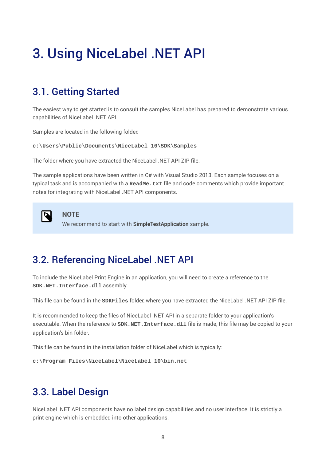## <span id="page-7-0"></span>3. Using NiceLabel .NET API

## 3.1. Getting Started

The easiest way to get started is to consult the samples NiceLabel has prepared to demonstrate various capabilities of NiceLabel .NET API.

Samples are located in the following folder:

```
c:\Users\Public\Documents\NiceLabel 10\SDK\Samples
```
The folder where you have extracted the NiceLabel .NET API ZIP file.

The sample applications have been written in C# with Visual Studio 2013. Each sample focuses on a typical task and is accompanied with a **ReadMe.txt** file and code comments which provide important notes for integrating with NiceLabel .NET API components.



**NOTE**

We recommend to start with **SimpleTestApplication** sample.

### 3.2. Referencing NiceLabel .NET API

To include the NiceLabel Print Engine in an application, you will need to create a reference to the **SDK.NET.Interface.dll** assembly.

This file can be found in the **SDKFiles** folder, where you have extracted the NiceLabel .NET API ZIP file.

It is recommended to keep the files of NiceLabel .NET API in a separate folder to your application's executable. When the reference to **SDK.NET.Interface.dll** file is made, this file may be copied to your application's bin folder.

This file can be found in the installation folder of NiceLabel which is typically:

```
c:\Program Files\NiceLabel\NiceLabel 10\bin.net
```
### 3.3. Label Design

NiceLabel .NET API components have no label design capabilities and no user interface. It is strictly a print engine which is embedded into other applications.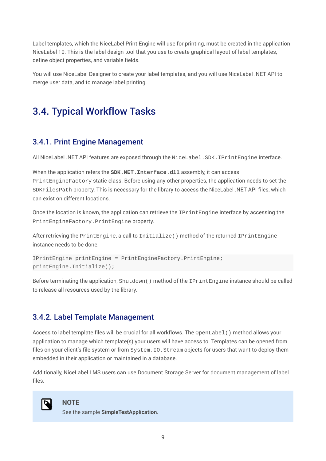<span id="page-8-0"></span>Label templates, which the NiceLabel Print Engine will use for printing, must be created in the application NiceLabel 10. This is the label design tool that you use to create graphical layout of label templates, define object properties, and variable fields.

You will use NiceLabel Designer to create your label templates, and you will use NiceLabel .NET API to merge user data, and to manage label printing.

### 3.4. Typical Workflow Tasks

#### 3.4.1. Print Engine Management

All NiceLabel .NET API features are exposed through the NiceLabel.SDK.IPrintEngine interface.

When the application refers the  $SDK.NET.D$  interface.dll assembly, it can access PrintEngineFactory static class. Before using any other properties, the application needs to set the SDKFilesPath property. This is necessary for the library to access the NiceLabel .NET API files, which can exist on different locations.

Once the location is known, the application can retrieve the IPrintEngine interface by accessing the PrintEngineFactory.PrintEngine property.

After retrieving the PrintEngine, a call to Initialize() method of the returned IPrintEngine instance needs to be done.

```
IPrintEngine printEngine = PrintEngineFactory.PrintEngine;
printEngine.Initialize();
```
Before terminating the application, Shutdown() method of the IPrintEngine instance should be called to release all resources used by the library.

#### 3.4.2. Label Template Management

Access to label template files will be crucial for all workflows. The OpenLabel() method allows your application to manage which template(s) your users will have access to. Templates can be opened from files on your client's file system or from System. IO. Stream objects for users that want to deploy them embedded in their application or maintained in a database.

Additionally, NiceLabel LMS users can use Document Storage Server for document management of label files.



#### **NOTE**

See the sample **SimpleTestApplication**.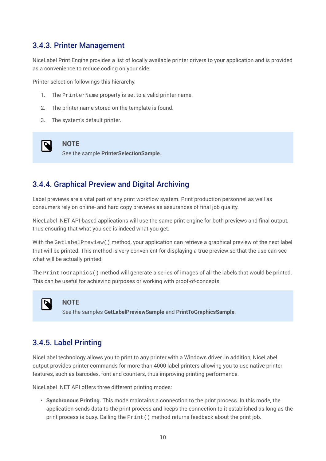#### <span id="page-9-0"></span>3.4.3. Printer Management

NiceLabel Print Engine provides a list of locally available printer drivers to your application and is provided as a convenience to reduce coding on your side.

Printer selection followings this hierarchy:

- 1. The PrinterName property is set to a valid printer name.
- 2. The printer name stored on the template is found.
- 3. The system's default printer.

**NOTE** See the sample **PrinterSelectionSample**.

#### 3.4.4. Graphical Preview and Digital Archiving

Label previews are a vital part of any print workflow system. Print production personnel as well as consumers rely on online- and hard copy previews as assurances of final job quality.

NiceLabel .NET API-based applications will use the same print engine for both previews and final output, thus ensuring that what you see is indeed what you get.

With the GetLabelPreview() method, your application can retrieve a graphical preview of the next label that will be printed. This method is very convenient for displaying a true preview so that the use can see what will be actually printed.

The PrintToGraphics() method will generate a series of images of all the labels that would be printed. This can be useful for achieving purposes or working with proof-of-concepts.



P

#### **NOTE**

See the samples **GetLabelPreviewSample** and **PrintToGraphicsSample**.

#### 3.4.5. Label Printing

NiceLabel technology allows you to print to any printer with a Windows driver. In addition, NiceLabel output provides printer commands for more than 4000 label printers allowing you to use native printer features, such as barcodes, font and counters, thus improving printing performance.

NiceLabel .NET API offers three different printing modes:

• **Synchronous Printing.** This mode maintains a connection to the print process. In this mode, the application sends data to the print process and keeps the connection to it established as long as the print process is busy. Calling the  $Print()$  method returns feedback about the print job.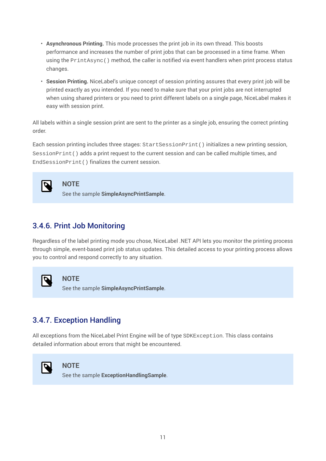- <span id="page-10-0"></span>• **Asynchronous Printing.** This mode processes the print job in its own thread. This boosts performance and increases the number of print jobs that can be processed in a time frame. When using the PrintAsync() method, the caller is notified via event handlers when print process status changes.
- **Session Printing.** NiceLabel's unique concept of session printing assures that every print job will be printed exactly as you intended. If you need to make sure that your print jobs are not interrupted when using shared printers or you need to print different labels on a single page, NiceLabel makes it easy with session print.

All labels within a single session print are sent to the printer as a single job, ensuring the correct printing order.

Each session printing includes three stages: StartSessionPrint() initializes a new printing session, SessionPrint() adds a print request to the current session and can be called multiple times, and EndSessionPrint() finalizes the current session.



#### **NOTE**

See the sample **SimpleAsyncPrintSample**.

#### 3.4.6. Print Job Monitoring

Regardless of the label printing mode you chose, NiceLabel .NET API lets you monitor the printing process through simple, event-based print job status updates. This detailed access to your printing process allows you to control and respond correctly to any situation.



#### **NOTE**

See the sample **SimpleAsyncPrintSample**.

#### 3.4.7. Exception Handling

All exceptions from the NiceLabel Print Engine will be of type SDKException. This class contains detailed information about errors that might be encountered.



#### **NOTE**

See the sample **ExceptionHandlingSample**.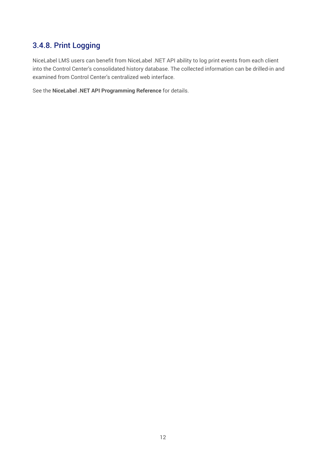#### <span id="page-11-0"></span>3.4.8. Print Logging

NiceLabel LMS users can benefit from NiceLabel .NET API ability to log print events from each client into the Control Center's consolidated history database. The collected information can be drilled-in and examined from Control Center's centralized web interface.

See the **NiceLabel .NET API Programming Reference** for details.